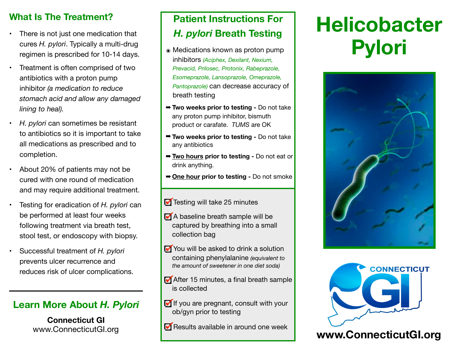### **What Is The Treatment?**

- There is not just one medication that cures *H. pylori*. Typically a multi-drug regimen is prescribed for 10-14 days.
- Treatment is often comprised of two antibiotics with a proton pump inhibitor *(a medication to reduce stomach acid and allow any damaged lining to heal).*
- *H. pylori* can sometimes be resistant to antibiotics so it is important to take all medications as prescribed and to completion.
- About 20% of patients may not be cured with one round of medication and may require additional treatment.
- Testing for eradication of *H. pylori* can be performed at least four weeks following treatment via breath test, stool test, or endoscopy with biopsy.
- Successful treatment of *H. pylori* prevents ulcer recurrence and reduces risk of ulcer complications.

### **Learn More About** *H. Pylori*

**Connecticut GI** [www.ConnecticutGI.org](http://www.connecticutgi.org)

## **Patient Instructions For**  *H. pylori* **Breath Testing**

- ๏ Medications known as proton pump inhibitors *(Aciphex, Dexilant, Nexium, Prevacid, Prilosec, Protonix, Rabeprazole, Esomeprazole, Lansoprazole, Omeprazole, Pantoprazole)* can decrease accuracy of breath testing
- ➡ **Two weeks prior to testing** Do not take any proton pump inhibitor, bismuth product or carafate. *TUMS* are OK
- ➡ **Two weeks prior to testing** Do not take any antibiotics
- ➡ **Two hours prior to testing** Do not eat or drink anything.
- ➡ **One hour prior to testing** Do not smoke
- Testing will take 25 minutes
- A baseline breath sample will be captured by breathing into a small collection bag
- You will be asked to drink a solution containing phenylalanine *(equivalent to the amount of sweetener in one diet soda)*
- After 15 minutes, a final breath sample is collected
- If you are pregnant, consult with your ob/gyn prior to testing
- Results available in around one week

# **Helicobacter Pylori**





### **[www.ConnecticutGI.org](http://www.connecticutgi.org)**